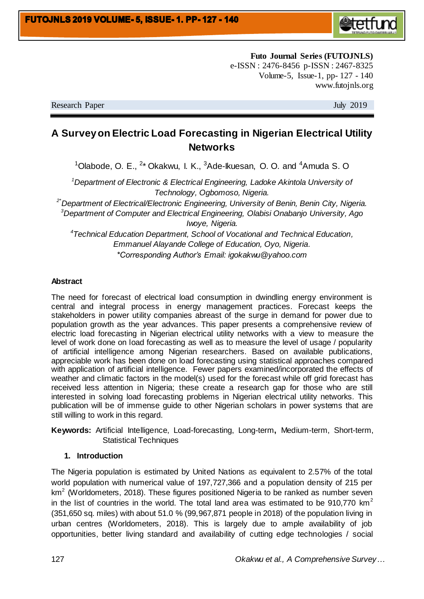

**Futo Journal Series (FUTOJNLS)** e-ISSN : 2476-8456 p-ISSN : 2467-8325 Volume-5, Issue-1, pp- 127 - 140 www.futojnls.org

Research Paper July 2019

# **A Survey on Electric Load Forecasting in Nigerian Electrical Utility Networks**

 $1$ Olabode, O. E.,  $2*$  Okakwu, I. K.,  $3$ Ade-Ikuesan, O. O. and  $4$ Amuda S. O

*<sup>1</sup>Department of Electronic & Electrical Engineering, Ladoke Akintola University of Technology, Ogbomoso, Nigeria.*

*2\*Department of Electrical/Electronic Engineering, University of Benin, Benin City, Nigeria. <sup>3</sup>Department of Computer and Electrical Engineering, Olabisi Onabanjo University, Ago Iwoye, Nigeria.*

*4 Technical Education Department, School of Vocational and Technical Education, Emmanuel Alayande College of Education, Oyo, Nigeria. \*Corresponding Author's Email: igokakwu@yahoo.com*

### **Abstract**

The need for forecast of electrical load consumption in dwindling energy environment is central and integral process in energy management practices. Forecast keeps the stakeholders in power utility companies abreast of the surge in demand for power due to population growth as the year advances. This paper presents a comprehensive review of electric load forecasting in Nigerian electrical utility networks with a view to measure the level of work done on load forecasting as well as to measure the level of usage / popularity of artificial intelligence among Nigerian researchers. Based on available publications, appreciable work has been done on load forecasting using statistical approaches compared with application of artificial intelligence. Fewer papers examined/incorporated the effects of weather and climatic factors in the model(s) used for the forecast while off grid forecast has received less attention in Nigeria; these create a research gap for those who are still interested in solving load forecasting problems in Nigerian electrical utility networks. This publication will be of immense guide to other Nigerian scholars in power systems that are still willing to work in this regard.

**Keywords:** Artificial Intelligence, Load-forecasting, Long-term**,** Medium-term, Short-term, Statistical Techniques

#### **1. Introduction**

The Nigeria population is estimated by United Nations as equivalent to 2.57% of the total world population with numerical value of 197,727,366 and a population density of 215 per  $km<sup>2</sup>$  (Worldometers, 2018). These figures positioned Nigeria to be ranked as number seven in the list of countries in the world. The total land area was estimated to be 910,770  $km<sup>2</sup>$ (351,650 sq. miles) with about 51.0 % (99,967,871 people in 2018) of the population living in urban centres (Worldometers, 2018). This is largely due to ample availability of job opportunities, better living standard and availability of cutting edge technologies / social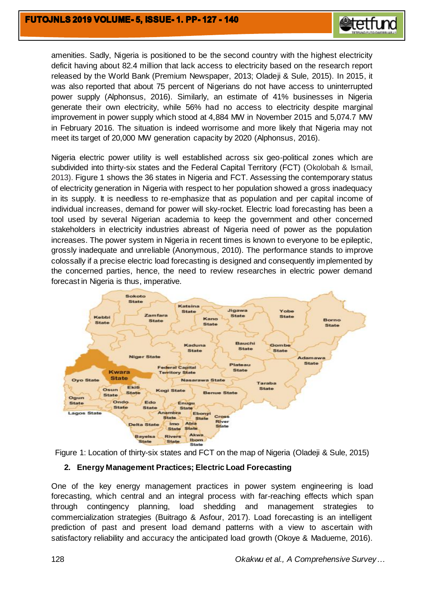

amenities. Sadly, Nigeria is positioned to be the second country with the highest electricity deficit having about 82.4 million that lack access to electricity based on the research report released by the World Bank (Premium Newspaper, 2013; Oladeji & Sule, 2015). In 2015, it was also reported that about 75 percent of Nigerians do not have access to uninterrupted power supply (Alphonsus, 2016). Similarly, an estimate of 41% businesses in Nigeria generate their own electricity, while 56% had no access to electricity despite marginal improvement in power supply which stood at 4,884 MW in November 2015 and 5,074.7 MW in February 2016. The situation is indeed worrisome and more likely that Nigeria may not meet its target of 20,000 MW generation capacity by 2020 (Alphonsus, 2016).

Nigeria electric power utility is well established across six geo-political zones which are subdivided into thirty-six states and the Federal Capital Territory (FCT) (Okolobah & Ismail, 2013). Figure 1 shows the 36 states in Nigeria and FCT. Assessing the contemporary status of electricity generation in Nigeria with respect to her population showed a gross inadequacy in its supply. It is needless to re-emphasize that as population and per capital income of individual increases, demand for power will sky-rocket. Electric load forecasting has been a tool used by several Nigerian academia to keep the government and other concerned stakeholders in electricity industries abreast of Nigeria need of power as the population increases. The power system in Nigeria in recent times is known to everyone to be epileptic, grossly inadequate and unreliable (Anonymous, 2010). The performance stands to improve colossally if a precise electric load forecasting is designed and consequently implemented by the concerned parties, hence, the need to review researches in electric power demand forecast in Nigeria is thus, imperative.





## **2. Energy Management Practices; Electric Load Forecasting**

One of the key energy management practices in power system engineering is load forecasting, which central and an integral process with far-reaching effects which span through contingency planning, load shedding and management strategies commercialization strategies (Buitrago & Asfour, 2017). Load forecasting is an intelligent prediction of past and present load demand patterns with a view to ascertain with satisfactory reliability and accuracy the anticipated load growth (Okoye & Madueme, 2016).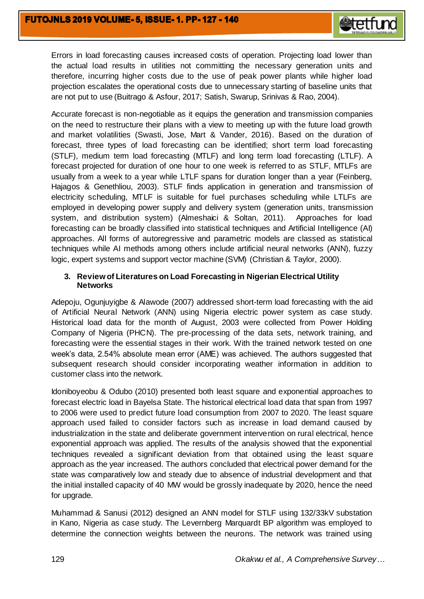

Errors in load forecasting causes increased costs of operation. Projecting load lower than the actual load results in utilities not committing the necessary generation units and therefore, incurring higher costs due to the use of peak power plants while higher load projection escalates the operational costs due to unnecessary starting of baseline units that are not put to use (Buitrago & Asfour, 2017; Satish, Swarup, Srinivas & Rao, 2004).

Accurate forecast is non-negotiable as it equips the generation and transmission companies on the need to restructure their plans with a view to meeting up with the future load growth and market volatilities (Swasti, Jose, Mart & Vander, 2016). Based on the duration of forecast, three types of load forecasting can be identified; short term load forecasting (STLF), medium term load forecasting (MTLF) and long term load forecasting (LTLF). A forecast projected for duration of one hour to one week is referred to as STLF, MTLFs are usually from a week to a year while LTLF spans for duration longer than a year (Feinberg, Hajagos & Genethliou, 2003). STLF finds application in generation and transmission of electricity scheduling, MTLF is suitable for fuel purchases scheduling while LTLFs are employed in developing power supply and delivery system (generation units, transmission system, and distribution system) (Almeshaici & Soltan, 2011). Approaches for load forecasting can be broadly classified into statistical techniques and Artificial Intelligence (AI) approaches. All forms of autoregressive and parametric models are classed as statistical techniques while AI methods among others include artificial neural networks (ANN), fuzzy logic, expert systems and support vector machine (SVM) (Christian & Taylor, 2000).

## **3. Review of Literatures on Load Forecasting in Nigerian Electrical Utility Networks**

Adepoju, Ogunjuyigbe & Alawode (2007) addressed short-term load forecasting with the aid of Artificial Neural Network (ANN) using Nigeria electric power system as case study. Historical load data for the month of August, 2003 were collected from Power Holding Company of Nigeria (PHCN). The pre-processing of the data sets, network training, and forecasting were the essential stages in their work. With the trained network tested on one week's data, 2.54% absolute mean error (AME) was achieved. The authors suggested that subsequent research should consider incorporating weather information in addition to customer class into the network.

Idoniboyeobu & Odubo (2010) presented both least square and exponential approaches to forecast electric load in Bayelsa State. The historical electrical load data that span from 1997 to 2006 were used to predict future load consumption from 2007 to 2020. The least square approach used failed to consider factors such as increase in load demand caused by industrialization in the state and deliberate government intervention on rural electrical, hence exponential approach was applied. The results of the analysis showed that the exponential techniques revealed a significant deviation from that obtained using the least square approach as the year increased. The authors concluded that electrical power demand for the state was comparatively low and steady due to absence of industrial development and that the initial installed capacity of 40 MW would be grossly inadequate by 2020, hence the need for upgrade.

Muhammad & Sanusi (2012) designed an ANN model for STLF using 132/33kV substation in Kano, Nigeria as case study. The Levernberg Marquardt BP algorithm was employed to determine the connection weights between the neurons. The network was trained using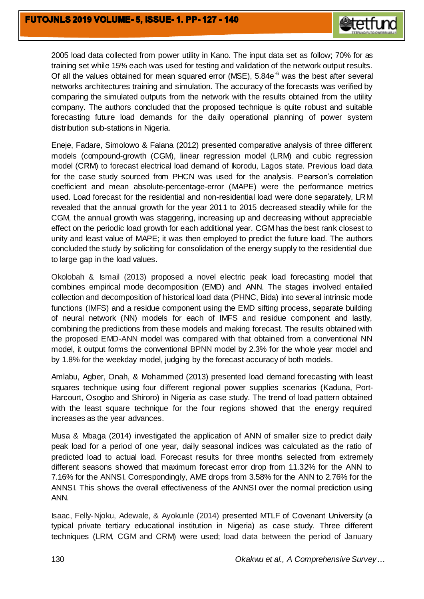

2005 load data collected from power utility in Kano. The input data set as follow; 70% for as training set while 15% each was used for testing and validation of the network output results. Of all the values obtained for mean squared error (MSE), 5.84e<sup>-6</sup> was the best after several networks architectures training and simulation. The accuracy of the forecasts was verified by comparing the simulated outputs from the network with the results obtained from the utility company. The authors concluded that the proposed technique is quite robust and suitable forecasting future load demands for the daily operational planning of power system distribution sub-stations in Nigeria.

Eneje, Fadare, Simolowo & Falana (2012) presented comparative analysis of three different models (compound-growth (CGM), linear regression model (LRM) and cubic regression model (CRM) to forecast electrical load demand of Ikorodu, Lagos state. Previous load data for the case study sourced from PHCN was used for the analysis. Pearson's correlation coefficient and mean absolute-percentage-error (MAPE) were the performance metrics used. Load forecast for the residential and non-residential load were done separately, LRM revealed that the annual growth for the year 2011 to 2015 decreased steadily while for the CGM, the annual growth was staggering, increasing up and decreasing without appreciable effect on the periodic load growth for each additional year. CGM has the best rank closest to unity and least value of MAPE; it was then employed to predict the future load. The authors concluded the study by soliciting for consolidation of the energy supply to the residential due to large gap in the load values.

Okolobah & Ismail (2013) proposed a novel electric peak load forecasting model that combines empirical mode decomposition (EMD) and ANN. The stages involved entailed collection and decomposition of historical load data (PHNC, Bida) into several intrinsic mode functions (IMFS) and a residue component using the EMD sifting process, separate building of neural network (NN) models for each of IMFS and residue component and lastly, combining the predictions from these models and making forecast. The results obtained with the proposed EMD-ANN model was compared with that obtained from a conventional NN model, it output forms the conventional BPNN model by 2.3% for the whole year model and by 1.8% for the weekday model, judging by the forecast accuracy of both models.

Amlabu, Agber, Onah, & Mohammed (2013) presented load demand forecasting with least squares technique using four different regional power supplies scenarios (Kaduna, Port-Harcourt, Osogbo and Shiroro) in Nigeria as case study. The trend of load pattern obtained with the least square technique for the four regions showed that the energy required increases as the year advances.

Musa & Mbaga (2014) investigated the application of ANN of smaller size to predict daily peak load for a period of one year, daily seasonal indices was calculated as the ratio of predicted load to actual load. Forecast results for three months selected from extremely different seasons showed that maximum forecast error drop from 11.32% for the ANN to 7.16% for the ANNSI. Correspondingly, AME drops from 3.58% for the ANN to 2.76% for the ANNSI. This shows the overall effectiveness of the ANNSI over the normal prediction using ANN.

Isaac, Felly-Njoku, Adewale, & Ayokunle (2014) presented MTLF of Covenant University (a typical private tertiary educational institution in Nigeria) as case study. Three different techniques (LRM, CGM and CRM) were used; load data between the period of January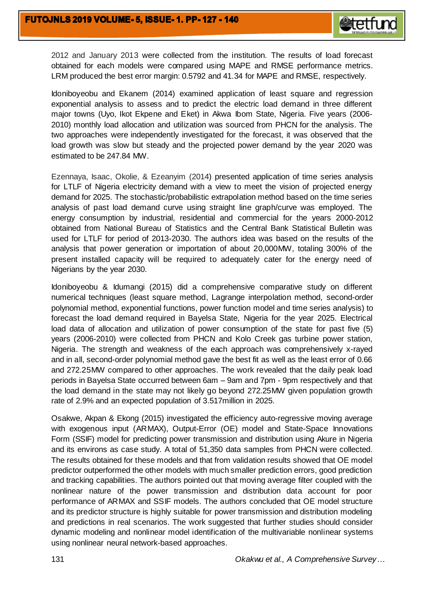

2012 and January 2013 were collected from the institution. The results of load forecast obtained for each models were compared using MAPE and RMSE performance metrics. LRM produced the best error margin: 0.5792 and 41.34 for MAPE and RMSE, respectively.

Idoniboyeobu and Ekanem (2014) examined application of least square and regression exponential analysis to assess and to predict the electric load demand in three different major towns (Uyo, Ikot Ekpene and Eket) in Akwa Ibom State, Nigeria. Five years (2006- 2010) monthly load allocation and utilization was sourced from PHCN for the analysis. The two approaches were independently investigated for the forecast, it was observed that the load growth was slow but steady and the projected power demand by the year 2020 was estimated to be 247.84 MW.

Ezennaya, Isaac, Okolie, & Ezeanyim (2014) presented application of time series analysis for LTLF of Nigeria electricity demand with a view to meet the vision of projected energy demand for 2025. The stochastic/probabilistic extrapolation method based on the time series analysis of past load demand curve using straight line graph/curve was employed. The energy consumption by industrial, residential and commercial for the years 2000-2012 obtained from National Bureau of Statistics and the Central Bank Statistical Bulletin was used for LTLF for period of 2013-2030. The authors idea was based on the results of the analysis that power generation or importation of about 20,000MW, totaling 300% of the present installed capacity will be required to adequately cater for the energy need of Nigerians by the year 2030.

Idoniboyeobu & Idumangi (2015) did a comprehensive comparative study on different numerical techniques (least square method, Lagrange interpolation method, second-order polynomial method, exponential functions, power function model and time series analysis) to forecast the load demand required in Bayelsa State, Nigeria for the year 2025. Electrical load data of allocation and utilization of power consumption of the state for past five (5) years (2006-2010) were collected from PHCN and Kolo Creek gas turbine power station, Nigeria. The strength and weakness of the each approach was comprehensively x-rayed and in all, second-order polynomial method gave the best fit as well as the least error of 0.66 and 272.25MW compared to other approaches. The work revealed that the daily peak load periods in Bayelsa State occurred between 6am – 9am and 7pm - 9pm respectively and that the load demand in the state may not likely go beyond 272.25MW given population growth rate of 2.9% and an expected population of 3.517million in 2025.

Osakwe, Akpan & Ekong (2015) investigated the efficiency auto-regressive moving average with exogenous input (ARMAX), Output-Error (OE) model and State-Space Innovations Form (SSIF) model for predicting power transmission and distribution using Akure in Nigeria and its environs as case study. A total of 51,350 data samples from PHCN were collected. The results obtained for these models and that from validation results showed that OE model predictor outperformed the other models with much smaller prediction errors, good prediction and tracking capabilities. The authors pointed out that moving average filter coupled with the nonlinear nature of the power transmission and distribution data account for poor performance of ARMAX and SSIF models. The authors concluded that OE model structure and its predictor structure is highly suitable for power transmission and distribution modeling and predictions in real scenarios. The work suggested that further studies should consider dynamic modeling and nonlinear model identification of the multivariable nonlinear systems using nonlinear neural network-based approaches.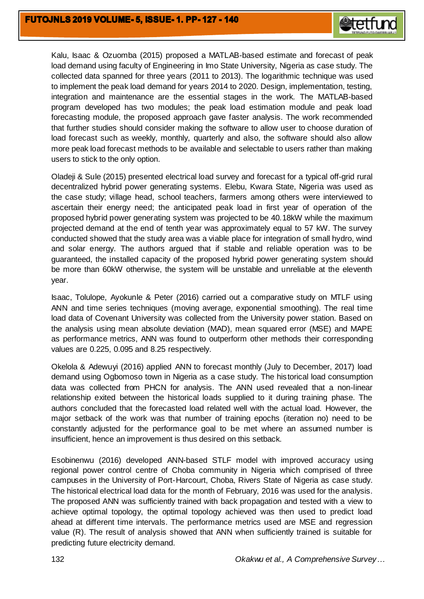

Kalu, Isaac & Ozuomba (2015) proposed a MATLAB-based estimate and forecast of peak load demand using faculty of Engineering in Imo State University, Nigeria as case study. The collected data spanned for three years (2011 to 2013). The logarithmic technique was used to implement the peak load demand for years 2014 to 2020. Design, implementation, testing, integration and maintenance are the essential stages in the work. The MATLAB-based program developed has two modules; the peak load estimation module and peak load forecasting module, the proposed approach gave faster analysis. The work recommended that further studies should consider making the software to allow user to choose duration of load forecast such as weekly, monthly, quarterly and also, the software should also allow more peak load forecast methods to be available and selectable to users rather than making users to stick to the only option.

Oladeji & Sule (2015) presented electrical load survey and forecast for a typical off-grid rural decentralized hybrid power generating systems. Elebu, Kwara State, Nigeria was used as the case study; village head, school teachers, farmers among others were interviewed to ascertain their energy need; the anticipated peak load in first year of operation of the proposed hybrid power generating system was projected to be 40.18kW while the maximum projected demand at the end of tenth year was approximately equal to 57 kW. The survey conducted showed that the study area was a viable place for integration of small hydro, wind and solar energy. The authors argued that if stable and reliable operation was to be guaranteed, the installed capacity of the proposed hybrid power generating system should be more than 60kW otherwise, the system will be unstable and unreliable at the eleventh year.

Isaac, Tolulope, Ayokunle & Peter (2016) carried out a comparative study on MTLF using ANN and time series techniques (moving average, exponential smoothing). The real time load data of Covenant University was collected from the University power station. Based on the analysis using mean absolute deviation (MAD), mean squared error (MSE) and MAPE as performance metrics, ANN was found to outperform other methods their corresponding values are 0.225, 0.095 and 8.25 respectively.

Okelola & Adewuyi (2016) applied ANN to forecast monthly (July to December, 2017) load demand using Ogbomoso town in Nigeria as a case study. The historical load consumption data was collected from PHCN for analysis. The ANN used revealed that a non-linear relationship exited between the historical loads supplied to it during training phase. The authors concluded that the forecasted load related well with the actual load. However, the major setback of the work was that number of training epochs (iteration no) need to be constantly adjusted for the performance goal to be met where an assumed number is insufficient, hence an improvement is thus desired on this setback.

Esobinenwu (2016) developed ANN-based STLF model with improved accuracy using regional power control centre of Choba community in Nigeria which comprised of three campuses in the University of Port-Harcourt, Choba, Rivers State of Nigeria as case study. The historical electrical load data for the month of February, 2016 was used for the analysis. The proposed ANN was sufficiently trained with back propagation and tested with a view to achieve optimal topology, the optimal topology achieved was then used to predict load ahead at different time intervals. The performance metrics used are MSE and regression value (R). The result of analysis showed that ANN when sufficiently trained is suitable for predicting future electricity demand.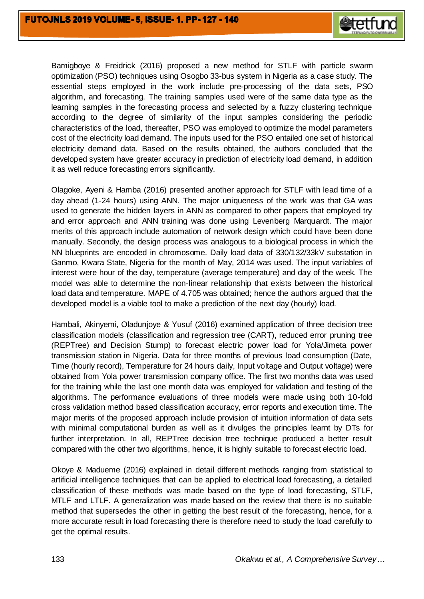

Bamigboye & Freidrick (2016) proposed a new method for STLF with particle swarm optimization (PSO) techniques using Osogbo 33-bus system in Nigeria as a case study. The essential steps employed in the work include pre-processing of the data sets, PSO algorithm, and forecasting. The training samples used were of the same data type as the learning samples in the forecasting process and selected by a fuzzy clustering technique according to the degree of similarity of the input samples considering the periodic characteristics of the load, thereafter, PSO was employed to optimize the model parameters cost of the electricity load demand. The inputs used for the PSO entailed one set of historical electricity demand data. Based on the results obtained, the authors concluded that the developed system have greater accuracy in prediction of electricity load demand, in addition it as well reduce forecasting errors significantly.

Olagoke, Ayeni & Hamba (2016) presented another approach for STLF with lead time of a day ahead (1-24 hours) using ANN. The major uniqueness of the work was that GA was used to generate the hidden layers in ANN as compared to other papers that employed try and error approach and ANN training was done using Levenberg Marquardt. The major merits of this approach include automation of network design which could have been done manually. Secondly, the design process was analogous to a biological process in which the NN blueprints are encoded in chromosome. Daily load data of 330/132/33kV substation in Ganmo, Kwara State, Nigeria for the month of May, 2014 was used. The input variables of interest were hour of the day, temperature (average temperature) and day of the week. The model was able to determine the non-linear relationship that exists between the historical load data and temperature. MAPE of 4.705 was obtained; hence the authors argued that the developed model is a viable tool to make a prediction of the next day (hourly) load.

Hambali, Akinyemi, Oladunjoye & Yusuf (2016) examined application of three decision tree classification models (classification and regression tree (CART), reduced error pruning tree (REPTree) and Decision Stump) to forecast electric power load for Yola/Jimeta power transmission station in Nigeria. Data for three months of previous load consumption (Date, Time (hourly record), Temperature for 24 hours daily, Input voltage and Output voltage) were obtained from Yola power transmission company office. The first two months data was used for the training while the last one month data was employed for validation and testing of the algorithms. The performance evaluations of three models were made using both 10-fold cross validation method based classification accuracy, error reports and execution time. The major merits of the proposed approach include provision of intuition information of data sets with minimal computational burden as well as it divulges the principles learnt by DTs for further interpretation. In all, REPTree decision tree technique produced a better result compared with the other two algorithms, hence, it is highly suitable to forecast electric load.

Okoye & Madueme (2016) explained in detail different methods ranging from statistical to artificial intelligence techniques that can be applied to electrical load forecasting, a detailed classification of these methods was made based on the type of load forecasting, STLF, MTLF and LTLF. A generalization was made based on the review that there is no suitable method that supersedes the other in getting the best result of the forecasting, hence, for a more accurate result in load forecasting there is therefore need to study the load carefully to get the optimal results.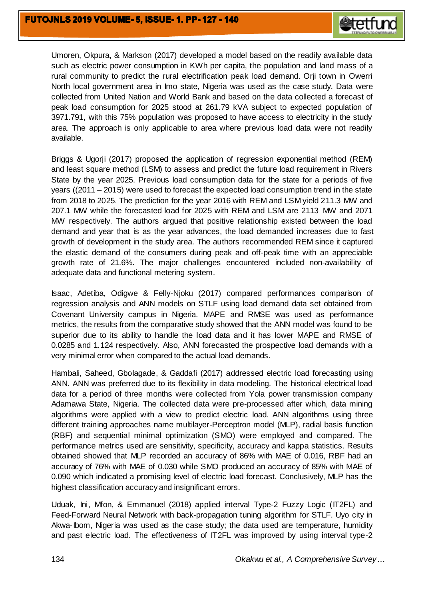

Umoren, Okpura, & Markson (2017) developed a model based on the readily available data such as electric power consumption in KWh per capita, the population and land mass of a rural community to predict the rural electrification peak load demand. Orji town in Owerri North local government area in Imo state, Nigeria was used as the case study. Data were collected from United Nation and World Bank and based on the data collected a forecast of peak load consumption for 2025 stood at 261.79 kVA subject to expected population of 3971.791, with this 75% population was proposed to have access to electricity in the study area. The approach is only applicable to area where previous load data were not readily available.

Briggs & Ugorji (2017) proposed the application of regression exponential method (REM) and least square method (LSM) to assess and predict the future load requirement in Rivers State by the year 2025. Previous load consumption data for the state for a periods of five years ((2011 – 2015) were used to forecast the expected load consumption trend in the state from 2018 to 2025. The prediction for the year 2016 with REM and LSM yield 211.3 MW and 207.1 MW while the forecasted load for 2025 with REM and LSM are 2113 MW and 2071 MW respectively. The authors argued that positive relationship existed between the load demand and year that is as the year advances, the load demanded increases due to fast growth of development in the study area. The authors recommended REM since it captured the elastic demand of the consumers during peak and off-peak time with an appreciable growth rate of 21.6%. The major challenges encountered included non-availability of adequate data and functional metering system.

Isaac, Adetiba, Odigwe & Felly-Njoku (2017) compared performances comparison of regression analysis and ANN models on STLF using load demand data set obtained from Covenant University campus in Nigeria. MAPE and RMSE was used as performance metrics, the results from the comparative study showed that the ANN model was found to be superior due to its ability to handle the load data and it has lower MAPE and RMSE of 0.0285 and 1.124 respectively. Also, ANN forecasted the prospective load demands with a very minimal error when compared to the actual load demands.

Hambali, Saheed, Gbolagade, & Gaddafi (2017) addressed electric load forecasting using ANN. ANN was preferred due to its flexibility in data modeling. The historical electrical load data for a period of three months were collected from Yola power transmission company Adamawa State, Nigeria. The collected data were pre-processed after which, data mining algorithms were applied with a view to predict electric load. ANN algorithms using three different training approaches name multilayer-Perceptron model (MLP), radial basis function (RBF) and sequential minimal optimization (SMO) were employed and compared. The performance metrics used are sensitivity, specificity, accuracy and kappa statistics. Results obtained showed that MLP recorded an accuracy of 86% with MAE of 0.016, RBF had an accuracy of 76% with MAE of 0.030 while SMO produced an accuracy of 85% with MAE of 0.090 which indicated a promising level of electric load forecast. Conclusively, MLP has the highest classification accuracy and insignificant errors.

Uduak, Ini, Mfon, & Emmanuel (2018) applied interval Type-2 Fuzzy Logic (IT2FL) and Feed-Forward Neural Network with back-propagation tuning algorithm for STLF. Uyo city in Akwa-Ibom, Nigeria was used as the case study; the data used are temperature, humidity and past electric load. The effectiveness of IT2FL was improved by using interval type-2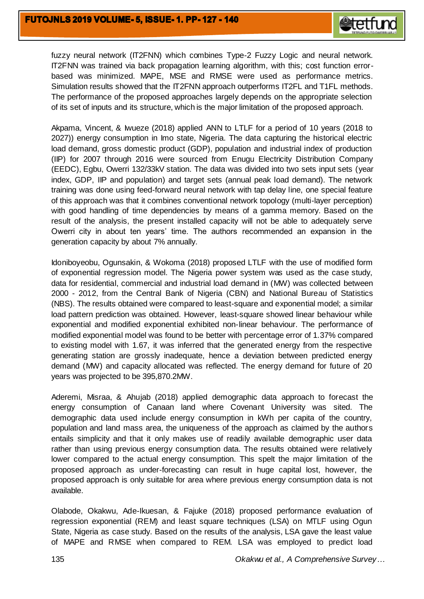

fuzzy neural network (IT2FNN) which combines Type-2 Fuzzy Logic and neural network. IT2FNN was trained via back propagation learning algorithm, with this; cost function errorbased was minimized. MAPE, MSE and RMSE were used as performance metrics. Simulation results showed that the IT2FNN approach outperforms IT2FL and T1FL methods. The performance of the proposed approaches largely depends on the appropriate selection of its set of inputs and its structure, which is the major limitation of the proposed approach.

Akpama, Vincent, & Iwueze (2018) applied ANN to LTLF for a period of 10 years (2018 to 2027)) energy consumption in Imo state, Nigeria. The data capturing the historical electric load demand, gross domestic product (GDP), population and industrial index of production (IIP) for 2007 through 2016 were sourced from Enugu Electricity Distribution Company (EEDC), Egbu, Owerri 132/33kV station. The data was divided into two sets input sets (year index, GDP, IIP and population) and target sets (annual peak load demand). The network training was done using feed-forward neural network with tap delay line, one special feature of this approach was that it combines conventional network topology (multi-layer perception) with good handling of time dependencies by means of a gamma memory. Based on the result of the analysis, the present installed capacity will not be able to adequately serve Owerri city in about ten years' time. The authors recommended an expansion in the generation capacity by about 7% annually.

Idoniboyeobu, Ogunsakin, & Wokoma (2018) proposed LTLF with the use of modified form of exponential regression model. The Nigeria power system was used as the case study, data for residential, commercial and industrial load demand in (MW) was collected between 2000 - 2012, from the Central Bank of Nigeria (CBN) and National Bureau of Statistics (NBS). The results obtained were compared to least-square and exponential model; a similar load pattern prediction was obtained. However, least-square showed linear behaviour while exponential and modified exponential exhibited non-linear behaviour. The performance of modified exponential model was found to be better with percentage error of 1.37% compared to existing model with 1.67, it was inferred that the generated energy from the respective generating station are grossly inadequate, hence a deviation between predicted energy demand (MW) and capacity allocated was reflected. The energy demand for future of 20 years was projected to be 395,870.2MW.

Aderemi, Misraa, & Ahujab (2018) applied demographic data approach to forecast the energy consumption of Canaan land where Covenant University was sited. The demographic data used include energy consumption in kWh per capita of the country, population and land mass area, the uniqueness of the approach as claimed by the authors entails simplicity and that it only makes use of readily available demographic user data rather than using previous energy consumption data. The results obtained were relatively lower compared to the actual energy consumption. This spelt the major limitation of the proposed approach as under-forecasting can result in huge capital lost, however, the proposed approach is only suitable for area where previous energy consumption data is not available.

Olabode, Okakwu, Ade-Ikuesan, & Fajuke (2018) proposed performance evaluation of regression exponential (REM) and least square techniques (LSA) on MTLF using Ogun State, Nigeria as case study. Based on the results of the analysis, LSA gave the least value of MAPE and RMSE when compared to REM. LSA was employed to predict load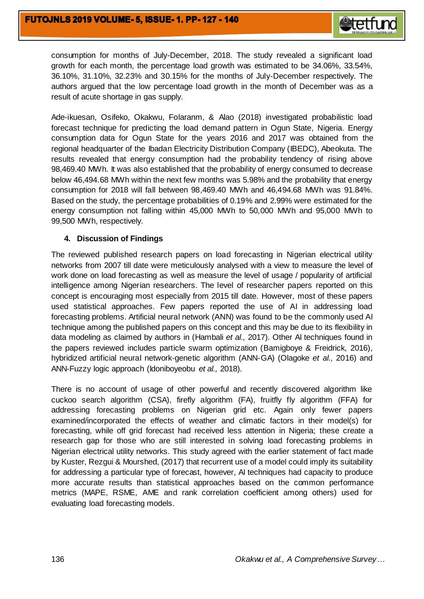

consumption for months of July-December, 2018. The study revealed a significant load growth for each month, the percentage load growth was estimated to be 34.06%, 33.54%, 36.10%, 31.10%, 32.23% and 30.15% for the months of July-December respectively. The authors argued that the low percentage load growth in the month of December was as a result of acute shortage in gas supply.

Ade-ikuesan, Osifeko, Okakwu, Folaranm, & Alao (2018) investigated probabilistic load forecast technique for predicting the load demand pattern in Ogun State, Nigeria. Energy consumption data for Ogun State for the years 2016 and 2017 was obtained from the regional headquarter of the Ibadan Electricity Distribution Company (IBEDC), Abeokuta. The results revealed that energy consumption had the probability tendency of rising above 98,469.40 MWh. It was also established that the probability of energy consumed to decrease below 46,494.68 MWh within the next few months was 5.98% and the probability that energy consumption for 2018 will fall between 98,469.40 MWh and 46,494.68 MWh was 91.84%. Based on the study, the percentage probabilities of 0.19% and 2.99% were estimated for the energy consumption not falling within 45,000 MWh to 50,000 MWh and 95,000 MWh to 99,500 MWh, respectively.

#### **4. Discussion of Findings**

The reviewed published research papers on load forecasting in Nigerian electrical utility networks from 2007 till date were meticulously analysed with a view to measure the level of work done on load forecasting as well as measure the level of usage / popularity of artificial intelligence among Nigerian researchers. The level of researcher papers reported on this concept is encouraging most especially from 2015 till date. However, most of these papers used statistical approaches. Few papers reported the use of AI in addressing load forecasting problems. Artificial neural network (ANN) was found to be the commonly used AI technique among the published papers on this concept and this may be due to its flexibility in data modeling as claimed by authors in (Hambali *et al.,* 2017). Other AI techniques found in the papers reviewed includes particle swarm optimization (Bamigboye & Freidrick, 2016), hybridized artificial neural network-genetic algorithm (ANN-GA) (Olagoke *et al.,* 2016) and ANN-Fuzzy logic approach (Idoniboyeobu *et al.,* 2018).

There is no account of usage of other powerful and recently discovered algorithm like cuckoo search algorithm (CSA), firefly algorithm (FA), fruitfly fly algorithm (FFA) for addressing forecasting problems on Nigerian grid etc. Again only fewer papers examined/incorporated the effects of weather and climatic factors in their model(s) for forecasting, while off grid forecast had received less attention in Nigeria; these create a research gap for those who are still interested in solving load forecasting problems in Nigerian electrical utility networks. This study agreed with the earlier statement of fact made by Kuster, Rezgui & Mourshed, (2017) that recurrent use of a model could imply its suitability for addressing a particular type of forecast, however, AI techniques had capacity to produce more accurate results than statistical approaches based on the common performance metrics (MAPE, RSME, AME and rank correlation coefficient among others) used for evaluating load forecasting models.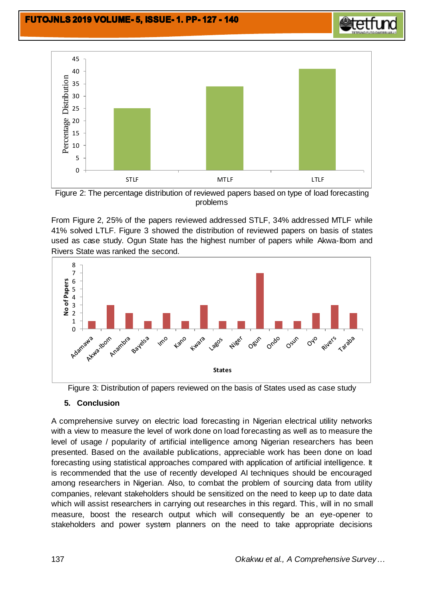



Figure 3: Distribution of papers reviewed on the basis of States used as case study

## **5. Conclusion**

Rivers State was ranked the second.

A comprehensive survey on electric load forecasting in Nigerian electrical utility networks with a view to measure the level of work done on load forecasting as well as to measure the level of usage / popularity of artificial intelligence among Nigerian researchers has been presented. Based on the available publications, appreciable work has been done on load forecasting using statistical approaches compared with application of artificial intelligence. It is recommended that the use of recently developed AI techniques should be encouraged among researchers in Nigerian. Also, to combat the problem of sourcing data from utility companies, relevant stakeholders should be sensitized on the need to keep up to date data which will assist researchers in carrying out researches in this regard. This, will in no small measure, boost the research output which will consequently be an eye-opener to stakeholders and power system planners on the need to take appropriate decisions



**etetfund**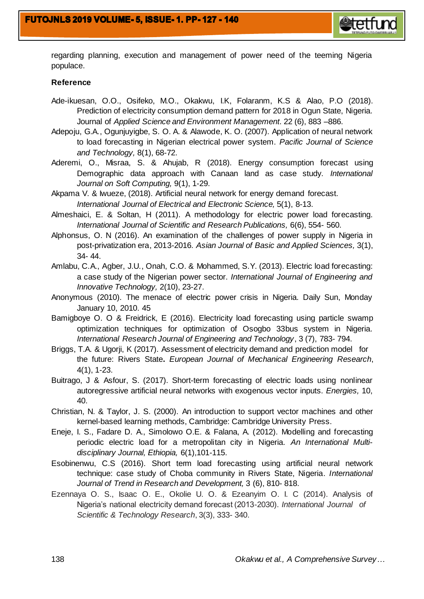

regarding planning, execution and management of power need of the teeming Nigeria populace.

#### **Reference**

- Ade-ikuesan, O.O., Osifeko, M.O., Okakwu, I.K, Folaranm, K.S & Alao, P.O (2018). Prediction of electricity consumption demand pattern for 2018 in Ogun State, Nigeria. Journal of *Applied Science and Environment Management*. 22 (6), 883 –886.
- Adepoju, G.A., Ogunjuyigbe, S. O. A. & Alawode, K. O. (2007). Application of neural network to load forecasting in Nigerian electrical power system. *Pacific Journal of Science and Technology,* 8(1), 68-72.
- Aderemi, O., Misraa, S. & Ahujab, R (2018). Energy consumption forecast using Demographic data approach with Canaan land as case study. *International Journal on Soft Computing,* 9(1), 1-29.
- Akpama V. & Iwueze, (2018). Artificial neural network for energy demand forecast. *International Journal of Electrical and Electronic Science,* 5(1), 8-13.
- Almeshaici, E. & Soltan, H (2011). A methodology for electric power load forecasting. *International Journal of Scientific and Research Publications,* 6(6), 554- 560.
- Alphonsus, O. N (2016). An examination of the challenges of power supply in Nigeria in post-privatization era, 2013-2016. *Asian Journal of Basic and Applied Sciences,* 3(1), 34- 44.
- Amlabu, C.A., Agber, J.U., Onah, C.O. & Mohammed, S.Y. (2013). Electric load forecasting: a case study of the Nigerian power sector. *International Journal of Engineering and Innovative Technology,* 2(10), 23-27.
- Anonymous (2010). The menace of electric power crisis in Nigeria. Daily Sun, Monday January 10, 2010. 45
- Bamigboye O. O & Freidrick, E (2016). Electricity load forecasting using particle swamp optimization techniques for optimization of Osogbo 33bus system in Nigeria. *International Research Journal of Engineering and Technology*, 3 (7), 783- 794.
- Briggs, T.A. & Ugorji, K (2017). Assessment of electricity demand and prediction model for the future: Rivers State**.** *European Journal of Mechanical Engineering Research*, 4(1), 1-23.
- Buitrago, J & Asfour, S. (2017). Short-term forecasting of electric loads using nonlinear autoregressive artificial neural networks with exogenous vector inputs. *Energies,* 10, 40.
- Christian, N. & Taylor, J. S. (2000). An introduction to support vector machines and other kernel-based learning methods, Cambridge: Cambridge University Press.
- Eneje, I. S., Fadare D. A., Simolowo O.E. & Falana, A. (2012). Modelling and forecasting periodic electric load for a metropolitan city in Nigeria. *An International Multidisciplinary Journal, Ethiopia,* 6(1),101-115.
- Esobinenwu, C.S (2016). Short term load forecasting using artificial neural network technique: case study of Choba community in Rivers State, Nigeria. *International Journal of Trend in Research and Development,* 3 (6), 810- 818.
- Ezennaya O. S., Isaac O. E., Okolie U. O. & Ezeanyim O. I. C (2014). Analysis of Nigeria's national electricity demand forecast (2013-2030). *International Journal of Scientific & Technology Research*, 3(3), 333- 340.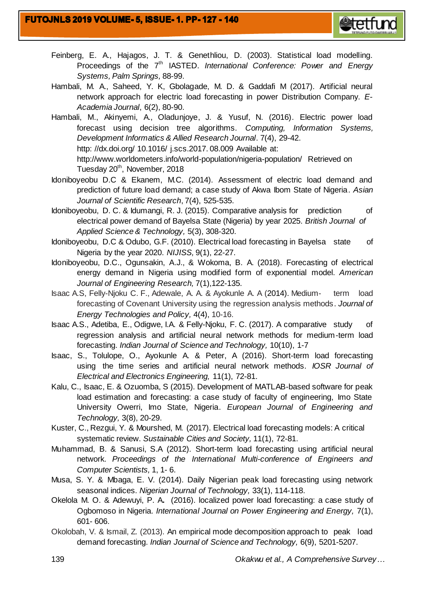

- Feinberg, E. A., Hajagos, J. T. & Genethliou, D. (2003). Statistical load modelling. Proceedings of the 7<sup>th</sup> IASTED. *International Conference: Power and Energy Systems, Palm Springs,* 88-99.
- Hambali, M. A., Saheed, Y. K, Gbolagade, M. D. & Gaddafi M (2017). Artificial neural network approach for electric load forecasting in power Distribution Company. *E-Academia Journal*, 6(2), 80-90.
- Hambali, M., Akinyemi, A., Oladunjoye, J. & Yusuf, N. (2016). Electric power load forecast using decision tree algorithms. *Computing, Information Systems, Development Informatics & Allied Research Journal*. 7(4), 29-42. http: //dx.doi.org/ 10.1016/ j.scs.2017. 08.009 Available at: http://www.worldometers.info/world-population/nigeria-population/ Retrieved on Tuesday 20<sup>th</sup>, November, 2018
- Idoniboyeobu D.C & Ekanem, M.C. (2014). Assessment of electric load demand and prediction of future load demand; a case study of Akwa Ibom State of Nigeria*. Asian Journal of Scientific Research*, 7(4), 525-535.
- Idoniboyeobu, D. C. & Idumangi, R. J. (2015). Comparative analysis for prediction of electrical power demand of Bayelsa State (Nigeria) by year 2025. *British Journal of Applied Science & Technology,* 5(3), 308-320.
- Idoniboyeobu, D.C & Odubo, G.F. (2010). Electrical load forecasting in Bayelsa state of Nigeria by the year 2020. *NIJISS,* 9(1), 22-27.
- Idoniboyeobu, D.C., Ogunsakin, A.J., & Wokoma, B. A. (2018). Forecasting of electrical energy demand in Nigeria using modified form of exponential model. *American Journal of Engineering Research,* 7(1),122-135.
- Isaac A.S, Felly-Njoku C. F., Adewale, A. A. & Ayokunle A. A (2014). Medium- term load forecasting of Covenant University using the regression analysis methods. *Journal of Energy Technologies and Policy,* 4(4), 10-16.
- Isaac A.S., Adetiba, E., Odigwe, I.A. & Felly-Njoku, F. C. (2017). A comparative study of regression analysis and artificial neural network methods for medium-term load forecasting. *Indian Journal of Science and Technology,* 10(10), 1-7
- Isaac, S., Tolulope, O., Ayokunle A. & Peter, A (2016). Short-term load forecasting using the time series and artificial neural network methods. *IOSR Journal of Electrical and Electronics Engineering,* 11(1), 72-81.
- Kalu, C., Isaac, E. & Ozuomba, S (2015). Development of MATLAB-based software for peak load estimation and forecasting: a case study of faculty of engineering, Imo State University Owerri, Imo State, Nigeria. *European Journal of Engineering and Technology,* 3(8), 20-29.
- Kuster, C., Rezgui, Y. & Mourshed, M. (2017). Electrical load forecasting models: A critical systematic review. *Sustainable Cities and Society,* 11(1), 72-81.
- Muhammad, B. & Sanusi, S.A (2012). Short-term load forecasting using artificial neural network. *Proceedings of the International Multi-conference of Engineers and Computer Scientists,* 1, 1- 6.
- Musa, S. Y. & Mbaga, E. V. (2014). Daily Nigerian peak load forecasting using network seasonal indices. *Nigerian Journal of Technology,* 33(1), 114-118.
- Okelola M. O. & Adewuyi, P. A**.** (2016). localized power load forecasting: a case study of Ogbomoso in Nigeria. *International Journal on Power Engineering and Energy,* 7(1), 601- 606.
- Okolobah, V. & Ismail, Z. (2013). An empirical mode decomposition approach to peak load demand forecasting. *Indian Journal of Science and Technology,* 6(9), 5201-5207.